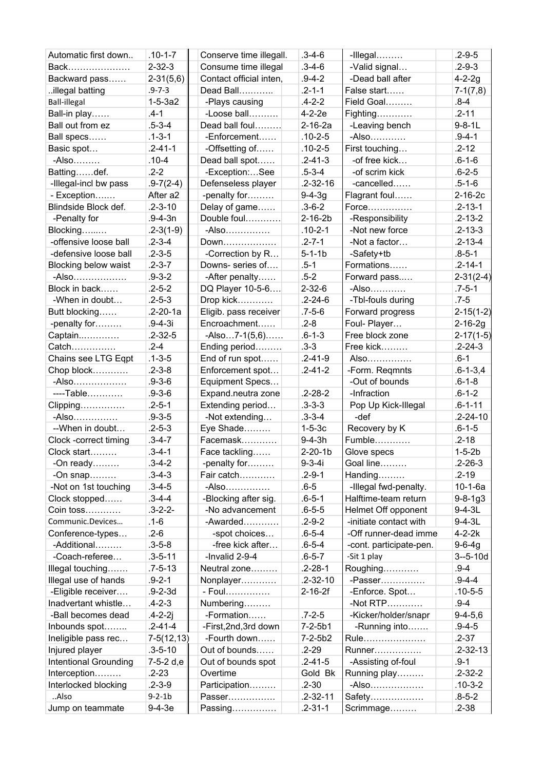| $2 - 32 - 3$<br>Consume time illegal<br>$.3 - 4 - 6$<br>$.2 - 9 - 3$<br>Back<br>-Valid signal<br>$.9 - 4 - 2$<br>Backward pass<br>$2 - 31(5,6)$<br>Contact official inten,<br>-Dead ball after<br>$4 - 2 - 2g$<br>$.9 - 7 - 3$<br>$.2 - 1 - 1$<br>illegal batting<br>Dead Ball<br>False start<br>$7-1(7,8)$<br>$1 - 5 - 3a2$<br>$.4 - 2 - 2$<br><b>Ball-illegal</b><br>-Plays causing<br>Field Goal<br>$.8 - 4$<br>$.4 - 1$<br>-Loose ball<br>$4 - 2 - 2e$<br>$.2 - 11$<br>Ball-in play<br>Fighting<br>$.5 - 3 - 4$<br>$9 - 8 - 11$<br>Dead ball foul<br>$2 - 16 - 2a$<br>-Leaving bench<br>Ball out from ez<br>$.1 - 3 - 1$<br>$.10 - 2 - 5$<br>$.9 - 4 - 1$<br>-Enforcement<br>Ball specs<br>-Also<br>$.2 - 41 - 1$<br>$.2 - 12$<br>-Offsetting of<br>$.10 - 2 - 5$<br>First touching<br>Basic spot<br>$.10 - 4$<br>Dead ball spot<br>$.2 - 41 - 3$<br>-of free kick<br>$.6 - 1 - 6$<br>-Also<br>Battingdef.<br>$.2 - 2$<br>-Exception:See<br>$.5 - 3 - 4$<br>-of scrim kick<br>$.6 - 2 - 5$<br>$.2 - 32 - 16$<br>-Illegal-incl bw pass<br>$.9 - 7(2 - 4)$<br>Defenseless player<br>-cancelled<br>$.5 - 1 - 6$<br>After a2<br>- Exception<br>-penalty for<br>$9 - 4 - 3g$<br>Flagrant foul<br>$2 - 16 - 2c$<br>Blindside Block def.<br>$.2 - 3 - 10$<br>Force<br>$.2 - 13 - 1$<br>Delay of game<br>$.3 - 6 - 2$<br>$.9 - 4 - 3n$<br>$.2 - 13 - 2$<br>-Penalty for<br>Double foul<br>$2 - 16 - 2b$<br>-Responsibility<br>Blocking<br>$.2 - 3(1 - 9)$<br>$.10 - 2 - 1$<br>-Not new force<br>$.2 - 13 - 3$<br>-Also<br>$.2 - 3 - 4$<br>$.2 - 7 - 1$<br>-offensive loose ball<br>-Not a factor<br>$.2 - 13 - 4$<br>Down<br>$5 - 1 - 1b$<br>-defensive loose ball<br>$.2 - 3 - 5$<br>-Correction by R<br>$.8 - 5 - 1$<br>-Safety+tb<br>$.2 - 3 - 7$<br>Downs- series of<br>$.5 - 1$<br>Blocking below waist<br>Formations<br>$.2 - 14 - 1$<br>$.9 - 3 - 2$<br>$.5 - 2$<br>-After penalty<br>Forward pass<br>$2 - 31(2 - 4)$<br>-Also<br>$.2 - 5 - 2$<br>Block in back<br>DQ Player 10-5-6<br>$2 - 32 - 6$<br>$-Also$<br>$.7 - 5 - 1$<br>$.2 - 5 - 3$<br>$.2 - 24 - 6$<br>$.7 - 5$<br>-When in doubt<br>Drop kick<br>-Tbl-fouls during<br>$.2 - 20 - 1a$<br>$.7 - 5 - 6$<br>Eligib. pass receiver<br>Forward progress<br>Butt blocking<br>$2 - 15(1 - 2)$<br>$.2 - 8$<br>Foul- Player<br>$.9 - 4 - 3i$<br>Encroachment<br>$2 - 16 - 2g$<br>-penalty for<br>$.2 - 32 - 5$<br>$-Also7-1(5,6)$<br>$.6 - 1 - 3$<br>Free block zone<br>$2 - 17(1 - 5)$<br>Captain<br>$.2 - 4$<br>$.3 - 3$<br>$.2 - 24 - 3$<br>Catch<br>Ending period<br>Free kick<br>Chains see LTG Eqpt<br>$.1 - 3 - 5$<br>End of run spot<br>$.2 - 41 - 9$<br>$.6 - 1$<br>Also<br>$.2 - 3 - 8$<br>-Form. Regmnts<br>Chop block<br>Enforcement spot<br>$.2 - 41 - 2$<br>$.6 - 1 - 3,4$<br>$.9 - 3 - 6$<br>-Out of bounds<br>-Also<br>Equipment Specs<br>$.6 - 1 - 8$<br>$.9 - 3 - 6$<br>$.2 - 28 - 2$<br>$.6 - 1 - 2$<br>----Table<br>Expand.neutra zone<br>-Infraction<br>$.3 - 3 - 3$<br>$.2 - 5 - 1$<br>$.6 - 1 - 11$<br>Extending period<br>Pop Up Kick-Illegal<br>Clipping<br>$.9 - 3 - 5$<br>$.3 - 3 - 4$<br>$.2 - 24 - 10$<br>-Also<br>-Not extending<br>-def<br>$.2 - 5 - 3$<br>$1 - 5 - 3c$<br>$.6 - 1 - 5$<br>--When in doubt<br>Eye Shade<br>Recovery by K<br>$.3 - 4 - 7$<br>$9 - 4 - 3h$<br>Fumble<br>$.2 - 18$<br>Clock -correct timing<br>Facemask<br>$.3 - 4 - 1$<br>$2 - 20 - 1b$<br>Clock start<br>Face tackling<br>$1 - 5 - 2b$<br>Glove specs<br>-On ready<br>$.3 - 4 - 2$<br>-penalty for<br>$9 - 3 - 4i$<br>Goal line<br>$.2 - 26 - 3$<br>$.3 - 4 - 3$<br>$.2 - 9 - 1$<br>Handing<br>$.2 - 19$<br>$-On$ snap<br>Fair catch<br>$.3 - 4 - 5$<br>$.6 - 5$<br>-Not on 1st touching<br>-Also<br>-Illegal fwd-penalty.<br>$10 - 1 - 6a$<br>$.3 - 4 - 4$<br>$.6 - 5 - 1$<br>Halftime-team return<br>-Blocking after sig.<br>$9 - 8 - 1g3$<br>Clock stopped<br>$.3 - 2 - 2 -$<br>$.6 - 5 - 5$<br>$9 - 4 - 3L$<br>Coin toss<br>-No advancement<br>Helmet Off opponent<br>$.1 - 6$<br>$.2 - 9 - 2$<br>$9 - 4 - 3L$<br>Communic.Devices<br>-Awarded<br>-initiate contact with<br>$.2 - 6$<br>$.6 - 5 - 4$<br>-Off runner-dead imme<br>$4 - 2 - 2k$<br>-spot choices<br>Conference-types<br>$.3 - 5 - 8$<br>-free kick after<br>$.6 - 5 - 4$<br>-Additional<br>-cont. participate-pen.<br>$9 - 6 - 4g$<br>$.3 - 5 - 11$<br>-Invalid 2-9-4<br>$3 - 5 - 10d$<br>-Coach-referee<br>$.6 - 5 - 7$<br>-Sit 1 play<br>$.7 - 5 - 13$<br>$.9 - 4$<br>Illegal touching<br>Neutral zone<br>$.2 - 28 - 1$<br>Roughing<br>Illegal use of hands<br>$.9 - 2 - 1$<br>$.9 - 4 - 4$<br>Nonplayer<br>$.2 - 32 - 10$<br>-Passer<br>$.9 - 2 - 3d$<br>$.10 - 5 - 5$<br>-Eligible receiver<br>- Foul<br>$2 - 16 - 2f$<br>-Enforce. Spot<br>Inadvertant whistle<br>$.4 - 2 - 3$<br>$.9 - 4$<br>Numbering<br>-Not RTP<br>$.7 - 2 - 5$<br>-Ball becomes dead<br>$.4 - 2 - 2j$<br>-Formation<br>-Kicker/holder/snapr<br>$9 - 4 - 5,6$<br>$.2 - 41 - 4$<br>Inbounds spot<br>-First, 2nd, 3rd down<br>$7 - 2 - 5b1$<br>-Running into<br>$.9 - 4 - 5$<br>Ineligible pass rec<br>$7-5(12,13)$<br>-Fourth down<br>$7 - 2 - 5b2$<br>$.2 - 37$<br>Rule<br>$.3 - 5 - 10$<br>Out of bounds<br>Injured player<br>$.2 - 29$<br>$.2 - 32 - 13$<br>Runner<br>$7-5-2$ d,e<br>Intentional Grounding<br>Out of bounds spot<br>$.2 - 41 - 5$<br>-Assisting of-foul<br>$.9 - 1$<br>$.2 - 23$<br>Overtime<br>Running play<br>Interception<br>Gold Bk<br>$.2 - 32 - 2$ | Automatic first down | $.10 - 1 - 7$ | Conserve time illegall. | $.3 - 4 - 6$ | $-$ Illegal | $.2 - 9 - 5$ |
|-------------------------------------------------------------------------------------------------------------------------------------------------------------------------------------------------------------------------------------------------------------------------------------------------------------------------------------------------------------------------------------------------------------------------------------------------------------------------------------------------------------------------------------------------------------------------------------------------------------------------------------------------------------------------------------------------------------------------------------------------------------------------------------------------------------------------------------------------------------------------------------------------------------------------------------------------------------------------------------------------------------------------------------------------------------------------------------------------------------------------------------------------------------------------------------------------------------------------------------------------------------------------------------------------------------------------------------------------------------------------------------------------------------------------------------------------------------------------------------------------------------------------------------------------------------------------------------------------------------------------------------------------------------------------------------------------------------------------------------------------------------------------------------------------------------------------------------------------------------------------------------------------------------------------------------------------------------------------------------------------------------------------------------------------------------------------------------------------------------------------------------------------------------------------------------------------------------------------------------------------------------------------------------------------------------------------------------------------------------------------------------------------------------------------------------------------------------------------------------------------------------------------------------------------------------------------------------------------------------------------------------------------------------------------------------------------------------------------------------------------------------------------------------------------------------------------------------------------------------------------------------------------------------------------------------------------------------------------------------------------------------------------------------------------------------------------------------------------------------------------------------------------------------------------------------------------------------------------------------------------------------------------------------------------------------------------------------------------------------------------------------------------------------------------------------------------------------------------------------------------------------------------------------------------------------------------------------------------------------------------------------------------------------------------------------------------------------------------------------------------------------------------------------------------------------------------------------------------------------------------------------------------------------------------------------------------------------------------------------------------------------------------------------------------------------------------------------------------------------------------------------------------------------------------------------------------------------------------------------------------------------------------------------------------------------------------------------------------------------------------------------------------------------------------------------------------------------------------------------------------------------------------------------------------------------------------------------------------------------------------------------------------------------------------------------------------------------------------------------------------------------------------------------------------------------------------------------------------------------------------------------------------------------------------------------------------------------------------------------------------------------------------------------------------------------------------------------------------------------------------------------------------------------------------------------------------------------------------------------------------------------------------------------------------------------------------------------------------------------------------------------------|----------------------|---------------|-------------------------|--------------|-------------|--------------|
|                                                                                                                                                                                                                                                                                                                                                                                                                                                                                                                                                                                                                                                                                                                                                                                                                                                                                                                                                                                                                                                                                                                                                                                                                                                                                                                                                                                                                                                                                                                                                                                                                                                                                                                                                                                                                                                                                                                                                                                                                                                                                                                                                                                                                                                                                                                                                                                                                                                                                                                                                                                                                                                                                                                                                                                                                                                                                                                                                                                                                                                                                                                                                                                                                                                                                                                                                                                                                                                                                                                                                                                                                                                                                                                                                                                                                                                                                                                                                                                                                                                                                                                                                                                                                                                                                                                                                                                                                                                                                                                                                                                                                                                                                                                                                                                                                                                                                                                                                                                                                                                                                                                                                                                                                                                                                                                                                                                           |                      |               |                         |              |             |              |
|                                                                                                                                                                                                                                                                                                                                                                                                                                                                                                                                                                                                                                                                                                                                                                                                                                                                                                                                                                                                                                                                                                                                                                                                                                                                                                                                                                                                                                                                                                                                                                                                                                                                                                                                                                                                                                                                                                                                                                                                                                                                                                                                                                                                                                                                                                                                                                                                                                                                                                                                                                                                                                                                                                                                                                                                                                                                                                                                                                                                                                                                                                                                                                                                                                                                                                                                                                                                                                                                                                                                                                                                                                                                                                                                                                                                                                                                                                                                                                                                                                                                                                                                                                                                                                                                                                                                                                                                                                                                                                                                                                                                                                                                                                                                                                                                                                                                                                                                                                                                                                                                                                                                                                                                                                                                                                                                                                                           |                      |               |                         |              |             |              |
|                                                                                                                                                                                                                                                                                                                                                                                                                                                                                                                                                                                                                                                                                                                                                                                                                                                                                                                                                                                                                                                                                                                                                                                                                                                                                                                                                                                                                                                                                                                                                                                                                                                                                                                                                                                                                                                                                                                                                                                                                                                                                                                                                                                                                                                                                                                                                                                                                                                                                                                                                                                                                                                                                                                                                                                                                                                                                                                                                                                                                                                                                                                                                                                                                                                                                                                                                                                                                                                                                                                                                                                                                                                                                                                                                                                                                                                                                                                                                                                                                                                                                                                                                                                                                                                                                                                                                                                                                                                                                                                                                                                                                                                                                                                                                                                                                                                                                                                                                                                                                                                                                                                                                                                                                                                                                                                                                                                           |                      |               |                         |              |             |              |
|                                                                                                                                                                                                                                                                                                                                                                                                                                                                                                                                                                                                                                                                                                                                                                                                                                                                                                                                                                                                                                                                                                                                                                                                                                                                                                                                                                                                                                                                                                                                                                                                                                                                                                                                                                                                                                                                                                                                                                                                                                                                                                                                                                                                                                                                                                                                                                                                                                                                                                                                                                                                                                                                                                                                                                                                                                                                                                                                                                                                                                                                                                                                                                                                                                                                                                                                                                                                                                                                                                                                                                                                                                                                                                                                                                                                                                                                                                                                                                                                                                                                                                                                                                                                                                                                                                                                                                                                                                                                                                                                                                                                                                                                                                                                                                                                                                                                                                                                                                                                                                                                                                                                                                                                                                                                                                                                                                                           |                      |               |                         |              |             |              |
|                                                                                                                                                                                                                                                                                                                                                                                                                                                                                                                                                                                                                                                                                                                                                                                                                                                                                                                                                                                                                                                                                                                                                                                                                                                                                                                                                                                                                                                                                                                                                                                                                                                                                                                                                                                                                                                                                                                                                                                                                                                                                                                                                                                                                                                                                                                                                                                                                                                                                                                                                                                                                                                                                                                                                                                                                                                                                                                                                                                                                                                                                                                                                                                                                                                                                                                                                                                                                                                                                                                                                                                                                                                                                                                                                                                                                                                                                                                                                                                                                                                                                                                                                                                                                                                                                                                                                                                                                                                                                                                                                                                                                                                                                                                                                                                                                                                                                                                                                                                                                                                                                                                                                                                                                                                                                                                                                                                           |                      |               |                         |              |             |              |
|                                                                                                                                                                                                                                                                                                                                                                                                                                                                                                                                                                                                                                                                                                                                                                                                                                                                                                                                                                                                                                                                                                                                                                                                                                                                                                                                                                                                                                                                                                                                                                                                                                                                                                                                                                                                                                                                                                                                                                                                                                                                                                                                                                                                                                                                                                                                                                                                                                                                                                                                                                                                                                                                                                                                                                                                                                                                                                                                                                                                                                                                                                                                                                                                                                                                                                                                                                                                                                                                                                                                                                                                                                                                                                                                                                                                                                                                                                                                                                                                                                                                                                                                                                                                                                                                                                                                                                                                                                                                                                                                                                                                                                                                                                                                                                                                                                                                                                                                                                                                                                                                                                                                                                                                                                                                                                                                                                                           |                      |               |                         |              |             |              |
|                                                                                                                                                                                                                                                                                                                                                                                                                                                                                                                                                                                                                                                                                                                                                                                                                                                                                                                                                                                                                                                                                                                                                                                                                                                                                                                                                                                                                                                                                                                                                                                                                                                                                                                                                                                                                                                                                                                                                                                                                                                                                                                                                                                                                                                                                                                                                                                                                                                                                                                                                                                                                                                                                                                                                                                                                                                                                                                                                                                                                                                                                                                                                                                                                                                                                                                                                                                                                                                                                                                                                                                                                                                                                                                                                                                                                                                                                                                                                                                                                                                                                                                                                                                                                                                                                                                                                                                                                                                                                                                                                                                                                                                                                                                                                                                                                                                                                                                                                                                                                                                                                                                                                                                                                                                                                                                                                                                           |                      |               |                         |              |             |              |
|                                                                                                                                                                                                                                                                                                                                                                                                                                                                                                                                                                                                                                                                                                                                                                                                                                                                                                                                                                                                                                                                                                                                                                                                                                                                                                                                                                                                                                                                                                                                                                                                                                                                                                                                                                                                                                                                                                                                                                                                                                                                                                                                                                                                                                                                                                                                                                                                                                                                                                                                                                                                                                                                                                                                                                                                                                                                                                                                                                                                                                                                                                                                                                                                                                                                                                                                                                                                                                                                                                                                                                                                                                                                                                                                                                                                                                                                                                                                                                                                                                                                                                                                                                                                                                                                                                                                                                                                                                                                                                                                                                                                                                                                                                                                                                                                                                                                                                                                                                                                                                                                                                                                                                                                                                                                                                                                                                                           |                      |               |                         |              |             |              |
|                                                                                                                                                                                                                                                                                                                                                                                                                                                                                                                                                                                                                                                                                                                                                                                                                                                                                                                                                                                                                                                                                                                                                                                                                                                                                                                                                                                                                                                                                                                                                                                                                                                                                                                                                                                                                                                                                                                                                                                                                                                                                                                                                                                                                                                                                                                                                                                                                                                                                                                                                                                                                                                                                                                                                                                                                                                                                                                                                                                                                                                                                                                                                                                                                                                                                                                                                                                                                                                                                                                                                                                                                                                                                                                                                                                                                                                                                                                                                                                                                                                                                                                                                                                                                                                                                                                                                                                                                                                                                                                                                                                                                                                                                                                                                                                                                                                                                                                                                                                                                                                                                                                                                                                                                                                                                                                                                                                           |                      |               |                         |              |             |              |
|                                                                                                                                                                                                                                                                                                                                                                                                                                                                                                                                                                                                                                                                                                                                                                                                                                                                                                                                                                                                                                                                                                                                                                                                                                                                                                                                                                                                                                                                                                                                                                                                                                                                                                                                                                                                                                                                                                                                                                                                                                                                                                                                                                                                                                                                                                                                                                                                                                                                                                                                                                                                                                                                                                                                                                                                                                                                                                                                                                                                                                                                                                                                                                                                                                                                                                                                                                                                                                                                                                                                                                                                                                                                                                                                                                                                                                                                                                                                                                                                                                                                                                                                                                                                                                                                                                                                                                                                                                                                                                                                                                                                                                                                                                                                                                                                                                                                                                                                                                                                                                                                                                                                                                                                                                                                                                                                                                                           |                      |               |                         |              |             |              |
|                                                                                                                                                                                                                                                                                                                                                                                                                                                                                                                                                                                                                                                                                                                                                                                                                                                                                                                                                                                                                                                                                                                                                                                                                                                                                                                                                                                                                                                                                                                                                                                                                                                                                                                                                                                                                                                                                                                                                                                                                                                                                                                                                                                                                                                                                                                                                                                                                                                                                                                                                                                                                                                                                                                                                                                                                                                                                                                                                                                                                                                                                                                                                                                                                                                                                                                                                                                                                                                                                                                                                                                                                                                                                                                                                                                                                                                                                                                                                                                                                                                                                                                                                                                                                                                                                                                                                                                                                                                                                                                                                                                                                                                                                                                                                                                                                                                                                                                                                                                                                                                                                                                                                                                                                                                                                                                                                                                           |                      |               |                         |              |             |              |
|                                                                                                                                                                                                                                                                                                                                                                                                                                                                                                                                                                                                                                                                                                                                                                                                                                                                                                                                                                                                                                                                                                                                                                                                                                                                                                                                                                                                                                                                                                                                                                                                                                                                                                                                                                                                                                                                                                                                                                                                                                                                                                                                                                                                                                                                                                                                                                                                                                                                                                                                                                                                                                                                                                                                                                                                                                                                                                                                                                                                                                                                                                                                                                                                                                                                                                                                                                                                                                                                                                                                                                                                                                                                                                                                                                                                                                                                                                                                                                                                                                                                                                                                                                                                                                                                                                                                                                                                                                                                                                                                                                                                                                                                                                                                                                                                                                                                                                                                                                                                                                                                                                                                                                                                                                                                                                                                                                                           |                      |               |                         |              |             |              |
|                                                                                                                                                                                                                                                                                                                                                                                                                                                                                                                                                                                                                                                                                                                                                                                                                                                                                                                                                                                                                                                                                                                                                                                                                                                                                                                                                                                                                                                                                                                                                                                                                                                                                                                                                                                                                                                                                                                                                                                                                                                                                                                                                                                                                                                                                                                                                                                                                                                                                                                                                                                                                                                                                                                                                                                                                                                                                                                                                                                                                                                                                                                                                                                                                                                                                                                                                                                                                                                                                                                                                                                                                                                                                                                                                                                                                                                                                                                                                                                                                                                                                                                                                                                                                                                                                                                                                                                                                                                                                                                                                                                                                                                                                                                                                                                                                                                                                                                                                                                                                                                                                                                                                                                                                                                                                                                                                                                           |                      |               |                         |              |             |              |
|                                                                                                                                                                                                                                                                                                                                                                                                                                                                                                                                                                                                                                                                                                                                                                                                                                                                                                                                                                                                                                                                                                                                                                                                                                                                                                                                                                                                                                                                                                                                                                                                                                                                                                                                                                                                                                                                                                                                                                                                                                                                                                                                                                                                                                                                                                                                                                                                                                                                                                                                                                                                                                                                                                                                                                                                                                                                                                                                                                                                                                                                                                                                                                                                                                                                                                                                                                                                                                                                                                                                                                                                                                                                                                                                                                                                                                                                                                                                                                                                                                                                                                                                                                                                                                                                                                                                                                                                                                                                                                                                                                                                                                                                                                                                                                                                                                                                                                                                                                                                                                                                                                                                                                                                                                                                                                                                                                                           |                      |               |                         |              |             |              |
|                                                                                                                                                                                                                                                                                                                                                                                                                                                                                                                                                                                                                                                                                                                                                                                                                                                                                                                                                                                                                                                                                                                                                                                                                                                                                                                                                                                                                                                                                                                                                                                                                                                                                                                                                                                                                                                                                                                                                                                                                                                                                                                                                                                                                                                                                                                                                                                                                                                                                                                                                                                                                                                                                                                                                                                                                                                                                                                                                                                                                                                                                                                                                                                                                                                                                                                                                                                                                                                                                                                                                                                                                                                                                                                                                                                                                                                                                                                                                                                                                                                                                                                                                                                                                                                                                                                                                                                                                                                                                                                                                                                                                                                                                                                                                                                                                                                                                                                                                                                                                                                                                                                                                                                                                                                                                                                                                                                           |                      |               |                         |              |             |              |
|                                                                                                                                                                                                                                                                                                                                                                                                                                                                                                                                                                                                                                                                                                                                                                                                                                                                                                                                                                                                                                                                                                                                                                                                                                                                                                                                                                                                                                                                                                                                                                                                                                                                                                                                                                                                                                                                                                                                                                                                                                                                                                                                                                                                                                                                                                                                                                                                                                                                                                                                                                                                                                                                                                                                                                                                                                                                                                                                                                                                                                                                                                                                                                                                                                                                                                                                                                                                                                                                                                                                                                                                                                                                                                                                                                                                                                                                                                                                                                                                                                                                                                                                                                                                                                                                                                                                                                                                                                                                                                                                                                                                                                                                                                                                                                                                                                                                                                                                                                                                                                                                                                                                                                                                                                                                                                                                                                                           |                      |               |                         |              |             |              |
|                                                                                                                                                                                                                                                                                                                                                                                                                                                                                                                                                                                                                                                                                                                                                                                                                                                                                                                                                                                                                                                                                                                                                                                                                                                                                                                                                                                                                                                                                                                                                                                                                                                                                                                                                                                                                                                                                                                                                                                                                                                                                                                                                                                                                                                                                                                                                                                                                                                                                                                                                                                                                                                                                                                                                                                                                                                                                                                                                                                                                                                                                                                                                                                                                                                                                                                                                                                                                                                                                                                                                                                                                                                                                                                                                                                                                                                                                                                                                                                                                                                                                                                                                                                                                                                                                                                                                                                                                                                                                                                                                                                                                                                                                                                                                                                                                                                                                                                                                                                                                                                                                                                                                                                                                                                                                                                                                                                           |                      |               |                         |              |             |              |
|                                                                                                                                                                                                                                                                                                                                                                                                                                                                                                                                                                                                                                                                                                                                                                                                                                                                                                                                                                                                                                                                                                                                                                                                                                                                                                                                                                                                                                                                                                                                                                                                                                                                                                                                                                                                                                                                                                                                                                                                                                                                                                                                                                                                                                                                                                                                                                                                                                                                                                                                                                                                                                                                                                                                                                                                                                                                                                                                                                                                                                                                                                                                                                                                                                                                                                                                                                                                                                                                                                                                                                                                                                                                                                                                                                                                                                                                                                                                                                                                                                                                                                                                                                                                                                                                                                                                                                                                                                                                                                                                                                                                                                                                                                                                                                                                                                                                                                                                                                                                                                                                                                                                                                                                                                                                                                                                                                                           |                      |               |                         |              |             |              |
|                                                                                                                                                                                                                                                                                                                                                                                                                                                                                                                                                                                                                                                                                                                                                                                                                                                                                                                                                                                                                                                                                                                                                                                                                                                                                                                                                                                                                                                                                                                                                                                                                                                                                                                                                                                                                                                                                                                                                                                                                                                                                                                                                                                                                                                                                                                                                                                                                                                                                                                                                                                                                                                                                                                                                                                                                                                                                                                                                                                                                                                                                                                                                                                                                                                                                                                                                                                                                                                                                                                                                                                                                                                                                                                                                                                                                                                                                                                                                                                                                                                                                                                                                                                                                                                                                                                                                                                                                                                                                                                                                                                                                                                                                                                                                                                                                                                                                                                                                                                                                                                                                                                                                                                                                                                                                                                                                                                           |                      |               |                         |              |             |              |
|                                                                                                                                                                                                                                                                                                                                                                                                                                                                                                                                                                                                                                                                                                                                                                                                                                                                                                                                                                                                                                                                                                                                                                                                                                                                                                                                                                                                                                                                                                                                                                                                                                                                                                                                                                                                                                                                                                                                                                                                                                                                                                                                                                                                                                                                                                                                                                                                                                                                                                                                                                                                                                                                                                                                                                                                                                                                                                                                                                                                                                                                                                                                                                                                                                                                                                                                                                                                                                                                                                                                                                                                                                                                                                                                                                                                                                                                                                                                                                                                                                                                                                                                                                                                                                                                                                                                                                                                                                                                                                                                                                                                                                                                                                                                                                                                                                                                                                                                                                                                                                                                                                                                                                                                                                                                                                                                                                                           |                      |               |                         |              |             |              |
|                                                                                                                                                                                                                                                                                                                                                                                                                                                                                                                                                                                                                                                                                                                                                                                                                                                                                                                                                                                                                                                                                                                                                                                                                                                                                                                                                                                                                                                                                                                                                                                                                                                                                                                                                                                                                                                                                                                                                                                                                                                                                                                                                                                                                                                                                                                                                                                                                                                                                                                                                                                                                                                                                                                                                                                                                                                                                                                                                                                                                                                                                                                                                                                                                                                                                                                                                                                                                                                                                                                                                                                                                                                                                                                                                                                                                                                                                                                                                                                                                                                                                                                                                                                                                                                                                                                                                                                                                                                                                                                                                                                                                                                                                                                                                                                                                                                                                                                                                                                                                                                                                                                                                                                                                                                                                                                                                                                           |                      |               |                         |              |             |              |
|                                                                                                                                                                                                                                                                                                                                                                                                                                                                                                                                                                                                                                                                                                                                                                                                                                                                                                                                                                                                                                                                                                                                                                                                                                                                                                                                                                                                                                                                                                                                                                                                                                                                                                                                                                                                                                                                                                                                                                                                                                                                                                                                                                                                                                                                                                                                                                                                                                                                                                                                                                                                                                                                                                                                                                                                                                                                                                                                                                                                                                                                                                                                                                                                                                                                                                                                                                                                                                                                                                                                                                                                                                                                                                                                                                                                                                                                                                                                                                                                                                                                                                                                                                                                                                                                                                                                                                                                                                                                                                                                                                                                                                                                                                                                                                                                                                                                                                                                                                                                                                                                                                                                                                                                                                                                                                                                                                                           |                      |               |                         |              |             |              |
|                                                                                                                                                                                                                                                                                                                                                                                                                                                                                                                                                                                                                                                                                                                                                                                                                                                                                                                                                                                                                                                                                                                                                                                                                                                                                                                                                                                                                                                                                                                                                                                                                                                                                                                                                                                                                                                                                                                                                                                                                                                                                                                                                                                                                                                                                                                                                                                                                                                                                                                                                                                                                                                                                                                                                                                                                                                                                                                                                                                                                                                                                                                                                                                                                                                                                                                                                                                                                                                                                                                                                                                                                                                                                                                                                                                                                                                                                                                                                                                                                                                                                                                                                                                                                                                                                                                                                                                                                                                                                                                                                                                                                                                                                                                                                                                                                                                                                                                                                                                                                                                                                                                                                                                                                                                                                                                                                                                           |                      |               |                         |              |             |              |
|                                                                                                                                                                                                                                                                                                                                                                                                                                                                                                                                                                                                                                                                                                                                                                                                                                                                                                                                                                                                                                                                                                                                                                                                                                                                                                                                                                                                                                                                                                                                                                                                                                                                                                                                                                                                                                                                                                                                                                                                                                                                                                                                                                                                                                                                                                                                                                                                                                                                                                                                                                                                                                                                                                                                                                                                                                                                                                                                                                                                                                                                                                                                                                                                                                                                                                                                                                                                                                                                                                                                                                                                                                                                                                                                                                                                                                                                                                                                                                                                                                                                                                                                                                                                                                                                                                                                                                                                                                                                                                                                                                                                                                                                                                                                                                                                                                                                                                                                                                                                                                                                                                                                                                                                                                                                                                                                                                                           |                      |               |                         |              |             |              |
|                                                                                                                                                                                                                                                                                                                                                                                                                                                                                                                                                                                                                                                                                                                                                                                                                                                                                                                                                                                                                                                                                                                                                                                                                                                                                                                                                                                                                                                                                                                                                                                                                                                                                                                                                                                                                                                                                                                                                                                                                                                                                                                                                                                                                                                                                                                                                                                                                                                                                                                                                                                                                                                                                                                                                                                                                                                                                                                                                                                                                                                                                                                                                                                                                                                                                                                                                                                                                                                                                                                                                                                                                                                                                                                                                                                                                                                                                                                                                                                                                                                                                                                                                                                                                                                                                                                                                                                                                                                                                                                                                                                                                                                                                                                                                                                                                                                                                                                                                                                                                                                                                                                                                                                                                                                                                                                                                                                           |                      |               |                         |              |             |              |
|                                                                                                                                                                                                                                                                                                                                                                                                                                                                                                                                                                                                                                                                                                                                                                                                                                                                                                                                                                                                                                                                                                                                                                                                                                                                                                                                                                                                                                                                                                                                                                                                                                                                                                                                                                                                                                                                                                                                                                                                                                                                                                                                                                                                                                                                                                                                                                                                                                                                                                                                                                                                                                                                                                                                                                                                                                                                                                                                                                                                                                                                                                                                                                                                                                                                                                                                                                                                                                                                                                                                                                                                                                                                                                                                                                                                                                                                                                                                                                                                                                                                                                                                                                                                                                                                                                                                                                                                                                                                                                                                                                                                                                                                                                                                                                                                                                                                                                                                                                                                                                                                                                                                                                                                                                                                                                                                                                                           |                      |               |                         |              |             |              |
|                                                                                                                                                                                                                                                                                                                                                                                                                                                                                                                                                                                                                                                                                                                                                                                                                                                                                                                                                                                                                                                                                                                                                                                                                                                                                                                                                                                                                                                                                                                                                                                                                                                                                                                                                                                                                                                                                                                                                                                                                                                                                                                                                                                                                                                                                                                                                                                                                                                                                                                                                                                                                                                                                                                                                                                                                                                                                                                                                                                                                                                                                                                                                                                                                                                                                                                                                                                                                                                                                                                                                                                                                                                                                                                                                                                                                                                                                                                                                                                                                                                                                                                                                                                                                                                                                                                                                                                                                                                                                                                                                                                                                                                                                                                                                                                                                                                                                                                                                                                                                                                                                                                                                                                                                                                                                                                                                                                           |                      |               |                         |              |             |              |
|                                                                                                                                                                                                                                                                                                                                                                                                                                                                                                                                                                                                                                                                                                                                                                                                                                                                                                                                                                                                                                                                                                                                                                                                                                                                                                                                                                                                                                                                                                                                                                                                                                                                                                                                                                                                                                                                                                                                                                                                                                                                                                                                                                                                                                                                                                                                                                                                                                                                                                                                                                                                                                                                                                                                                                                                                                                                                                                                                                                                                                                                                                                                                                                                                                                                                                                                                                                                                                                                                                                                                                                                                                                                                                                                                                                                                                                                                                                                                                                                                                                                                                                                                                                                                                                                                                                                                                                                                                                                                                                                                                                                                                                                                                                                                                                                                                                                                                                                                                                                                                                                                                                                                                                                                                                                                                                                                                                           |                      |               |                         |              |             |              |
|                                                                                                                                                                                                                                                                                                                                                                                                                                                                                                                                                                                                                                                                                                                                                                                                                                                                                                                                                                                                                                                                                                                                                                                                                                                                                                                                                                                                                                                                                                                                                                                                                                                                                                                                                                                                                                                                                                                                                                                                                                                                                                                                                                                                                                                                                                                                                                                                                                                                                                                                                                                                                                                                                                                                                                                                                                                                                                                                                                                                                                                                                                                                                                                                                                                                                                                                                                                                                                                                                                                                                                                                                                                                                                                                                                                                                                                                                                                                                                                                                                                                                                                                                                                                                                                                                                                                                                                                                                                                                                                                                                                                                                                                                                                                                                                                                                                                                                                                                                                                                                                                                                                                                                                                                                                                                                                                                                                           |                      |               |                         |              |             |              |
|                                                                                                                                                                                                                                                                                                                                                                                                                                                                                                                                                                                                                                                                                                                                                                                                                                                                                                                                                                                                                                                                                                                                                                                                                                                                                                                                                                                                                                                                                                                                                                                                                                                                                                                                                                                                                                                                                                                                                                                                                                                                                                                                                                                                                                                                                                                                                                                                                                                                                                                                                                                                                                                                                                                                                                                                                                                                                                                                                                                                                                                                                                                                                                                                                                                                                                                                                                                                                                                                                                                                                                                                                                                                                                                                                                                                                                                                                                                                                                                                                                                                                                                                                                                                                                                                                                                                                                                                                                                                                                                                                                                                                                                                                                                                                                                                                                                                                                                                                                                                                                                                                                                                                                                                                                                                                                                                                                                           |                      |               |                         |              |             |              |
|                                                                                                                                                                                                                                                                                                                                                                                                                                                                                                                                                                                                                                                                                                                                                                                                                                                                                                                                                                                                                                                                                                                                                                                                                                                                                                                                                                                                                                                                                                                                                                                                                                                                                                                                                                                                                                                                                                                                                                                                                                                                                                                                                                                                                                                                                                                                                                                                                                                                                                                                                                                                                                                                                                                                                                                                                                                                                                                                                                                                                                                                                                                                                                                                                                                                                                                                                                                                                                                                                                                                                                                                                                                                                                                                                                                                                                                                                                                                                                                                                                                                                                                                                                                                                                                                                                                                                                                                                                                                                                                                                                                                                                                                                                                                                                                                                                                                                                                                                                                                                                                                                                                                                                                                                                                                                                                                                                                           |                      |               |                         |              |             |              |
|                                                                                                                                                                                                                                                                                                                                                                                                                                                                                                                                                                                                                                                                                                                                                                                                                                                                                                                                                                                                                                                                                                                                                                                                                                                                                                                                                                                                                                                                                                                                                                                                                                                                                                                                                                                                                                                                                                                                                                                                                                                                                                                                                                                                                                                                                                                                                                                                                                                                                                                                                                                                                                                                                                                                                                                                                                                                                                                                                                                                                                                                                                                                                                                                                                                                                                                                                                                                                                                                                                                                                                                                                                                                                                                                                                                                                                                                                                                                                                                                                                                                                                                                                                                                                                                                                                                                                                                                                                                                                                                                                                                                                                                                                                                                                                                                                                                                                                                                                                                                                                                                                                                                                                                                                                                                                                                                                                                           |                      |               |                         |              |             |              |
|                                                                                                                                                                                                                                                                                                                                                                                                                                                                                                                                                                                                                                                                                                                                                                                                                                                                                                                                                                                                                                                                                                                                                                                                                                                                                                                                                                                                                                                                                                                                                                                                                                                                                                                                                                                                                                                                                                                                                                                                                                                                                                                                                                                                                                                                                                                                                                                                                                                                                                                                                                                                                                                                                                                                                                                                                                                                                                                                                                                                                                                                                                                                                                                                                                                                                                                                                                                                                                                                                                                                                                                                                                                                                                                                                                                                                                                                                                                                                                                                                                                                                                                                                                                                                                                                                                                                                                                                                                                                                                                                                                                                                                                                                                                                                                                                                                                                                                                                                                                                                                                                                                                                                                                                                                                                                                                                                                                           |                      |               |                         |              |             |              |
|                                                                                                                                                                                                                                                                                                                                                                                                                                                                                                                                                                                                                                                                                                                                                                                                                                                                                                                                                                                                                                                                                                                                                                                                                                                                                                                                                                                                                                                                                                                                                                                                                                                                                                                                                                                                                                                                                                                                                                                                                                                                                                                                                                                                                                                                                                                                                                                                                                                                                                                                                                                                                                                                                                                                                                                                                                                                                                                                                                                                                                                                                                                                                                                                                                                                                                                                                                                                                                                                                                                                                                                                                                                                                                                                                                                                                                                                                                                                                                                                                                                                                                                                                                                                                                                                                                                                                                                                                                                                                                                                                                                                                                                                                                                                                                                                                                                                                                                                                                                                                                                                                                                                                                                                                                                                                                                                                                                           |                      |               |                         |              |             |              |
|                                                                                                                                                                                                                                                                                                                                                                                                                                                                                                                                                                                                                                                                                                                                                                                                                                                                                                                                                                                                                                                                                                                                                                                                                                                                                                                                                                                                                                                                                                                                                                                                                                                                                                                                                                                                                                                                                                                                                                                                                                                                                                                                                                                                                                                                                                                                                                                                                                                                                                                                                                                                                                                                                                                                                                                                                                                                                                                                                                                                                                                                                                                                                                                                                                                                                                                                                                                                                                                                                                                                                                                                                                                                                                                                                                                                                                                                                                                                                                                                                                                                                                                                                                                                                                                                                                                                                                                                                                                                                                                                                                                                                                                                                                                                                                                                                                                                                                                                                                                                                                                                                                                                                                                                                                                                                                                                                                                           |                      |               |                         |              |             |              |
|                                                                                                                                                                                                                                                                                                                                                                                                                                                                                                                                                                                                                                                                                                                                                                                                                                                                                                                                                                                                                                                                                                                                                                                                                                                                                                                                                                                                                                                                                                                                                                                                                                                                                                                                                                                                                                                                                                                                                                                                                                                                                                                                                                                                                                                                                                                                                                                                                                                                                                                                                                                                                                                                                                                                                                                                                                                                                                                                                                                                                                                                                                                                                                                                                                                                                                                                                                                                                                                                                                                                                                                                                                                                                                                                                                                                                                                                                                                                                                                                                                                                                                                                                                                                                                                                                                                                                                                                                                                                                                                                                                                                                                                                                                                                                                                                                                                                                                                                                                                                                                                                                                                                                                                                                                                                                                                                                                                           |                      |               |                         |              |             |              |
|                                                                                                                                                                                                                                                                                                                                                                                                                                                                                                                                                                                                                                                                                                                                                                                                                                                                                                                                                                                                                                                                                                                                                                                                                                                                                                                                                                                                                                                                                                                                                                                                                                                                                                                                                                                                                                                                                                                                                                                                                                                                                                                                                                                                                                                                                                                                                                                                                                                                                                                                                                                                                                                                                                                                                                                                                                                                                                                                                                                                                                                                                                                                                                                                                                                                                                                                                                                                                                                                                                                                                                                                                                                                                                                                                                                                                                                                                                                                                                                                                                                                                                                                                                                                                                                                                                                                                                                                                                                                                                                                                                                                                                                                                                                                                                                                                                                                                                                                                                                                                                                                                                                                                                                                                                                                                                                                                                                           |                      |               |                         |              |             |              |
|                                                                                                                                                                                                                                                                                                                                                                                                                                                                                                                                                                                                                                                                                                                                                                                                                                                                                                                                                                                                                                                                                                                                                                                                                                                                                                                                                                                                                                                                                                                                                                                                                                                                                                                                                                                                                                                                                                                                                                                                                                                                                                                                                                                                                                                                                                                                                                                                                                                                                                                                                                                                                                                                                                                                                                                                                                                                                                                                                                                                                                                                                                                                                                                                                                                                                                                                                                                                                                                                                                                                                                                                                                                                                                                                                                                                                                                                                                                                                                                                                                                                                                                                                                                                                                                                                                                                                                                                                                                                                                                                                                                                                                                                                                                                                                                                                                                                                                                                                                                                                                                                                                                                                                                                                                                                                                                                                                                           |                      |               |                         |              |             |              |
|                                                                                                                                                                                                                                                                                                                                                                                                                                                                                                                                                                                                                                                                                                                                                                                                                                                                                                                                                                                                                                                                                                                                                                                                                                                                                                                                                                                                                                                                                                                                                                                                                                                                                                                                                                                                                                                                                                                                                                                                                                                                                                                                                                                                                                                                                                                                                                                                                                                                                                                                                                                                                                                                                                                                                                                                                                                                                                                                                                                                                                                                                                                                                                                                                                                                                                                                                                                                                                                                                                                                                                                                                                                                                                                                                                                                                                                                                                                                                                                                                                                                                                                                                                                                                                                                                                                                                                                                                                                                                                                                                                                                                                                                                                                                                                                                                                                                                                                                                                                                                                                                                                                                                                                                                                                                                                                                                                                           |                      |               |                         |              |             |              |
|                                                                                                                                                                                                                                                                                                                                                                                                                                                                                                                                                                                                                                                                                                                                                                                                                                                                                                                                                                                                                                                                                                                                                                                                                                                                                                                                                                                                                                                                                                                                                                                                                                                                                                                                                                                                                                                                                                                                                                                                                                                                                                                                                                                                                                                                                                                                                                                                                                                                                                                                                                                                                                                                                                                                                                                                                                                                                                                                                                                                                                                                                                                                                                                                                                                                                                                                                                                                                                                                                                                                                                                                                                                                                                                                                                                                                                                                                                                                                                                                                                                                                                                                                                                                                                                                                                                                                                                                                                                                                                                                                                                                                                                                                                                                                                                                                                                                                                                                                                                                                                                                                                                                                                                                                                                                                                                                                                                           |                      |               |                         |              |             |              |
|                                                                                                                                                                                                                                                                                                                                                                                                                                                                                                                                                                                                                                                                                                                                                                                                                                                                                                                                                                                                                                                                                                                                                                                                                                                                                                                                                                                                                                                                                                                                                                                                                                                                                                                                                                                                                                                                                                                                                                                                                                                                                                                                                                                                                                                                                                                                                                                                                                                                                                                                                                                                                                                                                                                                                                                                                                                                                                                                                                                                                                                                                                                                                                                                                                                                                                                                                                                                                                                                                                                                                                                                                                                                                                                                                                                                                                                                                                                                                                                                                                                                                                                                                                                                                                                                                                                                                                                                                                                                                                                                                                                                                                                                                                                                                                                                                                                                                                                                                                                                                                                                                                                                                                                                                                                                                                                                                                                           |                      |               |                         |              |             |              |
|                                                                                                                                                                                                                                                                                                                                                                                                                                                                                                                                                                                                                                                                                                                                                                                                                                                                                                                                                                                                                                                                                                                                                                                                                                                                                                                                                                                                                                                                                                                                                                                                                                                                                                                                                                                                                                                                                                                                                                                                                                                                                                                                                                                                                                                                                                                                                                                                                                                                                                                                                                                                                                                                                                                                                                                                                                                                                                                                                                                                                                                                                                                                                                                                                                                                                                                                                                                                                                                                                                                                                                                                                                                                                                                                                                                                                                                                                                                                                                                                                                                                                                                                                                                                                                                                                                                                                                                                                                                                                                                                                                                                                                                                                                                                                                                                                                                                                                                                                                                                                                                                                                                                                                                                                                                                                                                                                                                           |                      |               |                         |              |             |              |
|                                                                                                                                                                                                                                                                                                                                                                                                                                                                                                                                                                                                                                                                                                                                                                                                                                                                                                                                                                                                                                                                                                                                                                                                                                                                                                                                                                                                                                                                                                                                                                                                                                                                                                                                                                                                                                                                                                                                                                                                                                                                                                                                                                                                                                                                                                                                                                                                                                                                                                                                                                                                                                                                                                                                                                                                                                                                                                                                                                                                                                                                                                                                                                                                                                                                                                                                                                                                                                                                                                                                                                                                                                                                                                                                                                                                                                                                                                                                                                                                                                                                                                                                                                                                                                                                                                                                                                                                                                                                                                                                                                                                                                                                                                                                                                                                                                                                                                                                                                                                                                                                                                                                                                                                                                                                                                                                                                                           |                      |               |                         |              |             |              |
|                                                                                                                                                                                                                                                                                                                                                                                                                                                                                                                                                                                                                                                                                                                                                                                                                                                                                                                                                                                                                                                                                                                                                                                                                                                                                                                                                                                                                                                                                                                                                                                                                                                                                                                                                                                                                                                                                                                                                                                                                                                                                                                                                                                                                                                                                                                                                                                                                                                                                                                                                                                                                                                                                                                                                                                                                                                                                                                                                                                                                                                                                                                                                                                                                                                                                                                                                                                                                                                                                                                                                                                                                                                                                                                                                                                                                                                                                                                                                                                                                                                                                                                                                                                                                                                                                                                                                                                                                                                                                                                                                                                                                                                                                                                                                                                                                                                                                                                                                                                                                                                                                                                                                                                                                                                                                                                                                                                           |                      |               |                         |              |             |              |
|                                                                                                                                                                                                                                                                                                                                                                                                                                                                                                                                                                                                                                                                                                                                                                                                                                                                                                                                                                                                                                                                                                                                                                                                                                                                                                                                                                                                                                                                                                                                                                                                                                                                                                                                                                                                                                                                                                                                                                                                                                                                                                                                                                                                                                                                                                                                                                                                                                                                                                                                                                                                                                                                                                                                                                                                                                                                                                                                                                                                                                                                                                                                                                                                                                                                                                                                                                                                                                                                                                                                                                                                                                                                                                                                                                                                                                                                                                                                                                                                                                                                                                                                                                                                                                                                                                                                                                                                                                                                                                                                                                                                                                                                                                                                                                                                                                                                                                                                                                                                                                                                                                                                                                                                                                                                                                                                                                                           |                      |               |                         |              |             |              |
|                                                                                                                                                                                                                                                                                                                                                                                                                                                                                                                                                                                                                                                                                                                                                                                                                                                                                                                                                                                                                                                                                                                                                                                                                                                                                                                                                                                                                                                                                                                                                                                                                                                                                                                                                                                                                                                                                                                                                                                                                                                                                                                                                                                                                                                                                                                                                                                                                                                                                                                                                                                                                                                                                                                                                                                                                                                                                                                                                                                                                                                                                                                                                                                                                                                                                                                                                                                                                                                                                                                                                                                                                                                                                                                                                                                                                                                                                                                                                                                                                                                                                                                                                                                                                                                                                                                                                                                                                                                                                                                                                                                                                                                                                                                                                                                                                                                                                                                                                                                                                                                                                                                                                                                                                                                                                                                                                                                           |                      |               |                         |              |             |              |
|                                                                                                                                                                                                                                                                                                                                                                                                                                                                                                                                                                                                                                                                                                                                                                                                                                                                                                                                                                                                                                                                                                                                                                                                                                                                                                                                                                                                                                                                                                                                                                                                                                                                                                                                                                                                                                                                                                                                                                                                                                                                                                                                                                                                                                                                                                                                                                                                                                                                                                                                                                                                                                                                                                                                                                                                                                                                                                                                                                                                                                                                                                                                                                                                                                                                                                                                                                                                                                                                                                                                                                                                                                                                                                                                                                                                                                                                                                                                                                                                                                                                                                                                                                                                                                                                                                                                                                                                                                                                                                                                                                                                                                                                                                                                                                                                                                                                                                                                                                                                                                                                                                                                                                                                                                                                                                                                                                                           |                      |               |                         |              |             |              |
|                                                                                                                                                                                                                                                                                                                                                                                                                                                                                                                                                                                                                                                                                                                                                                                                                                                                                                                                                                                                                                                                                                                                                                                                                                                                                                                                                                                                                                                                                                                                                                                                                                                                                                                                                                                                                                                                                                                                                                                                                                                                                                                                                                                                                                                                                                                                                                                                                                                                                                                                                                                                                                                                                                                                                                                                                                                                                                                                                                                                                                                                                                                                                                                                                                                                                                                                                                                                                                                                                                                                                                                                                                                                                                                                                                                                                                                                                                                                                                                                                                                                                                                                                                                                                                                                                                                                                                                                                                                                                                                                                                                                                                                                                                                                                                                                                                                                                                                                                                                                                                                                                                                                                                                                                                                                                                                                                                                           |                      |               |                         |              |             |              |
|                                                                                                                                                                                                                                                                                                                                                                                                                                                                                                                                                                                                                                                                                                                                                                                                                                                                                                                                                                                                                                                                                                                                                                                                                                                                                                                                                                                                                                                                                                                                                                                                                                                                                                                                                                                                                                                                                                                                                                                                                                                                                                                                                                                                                                                                                                                                                                                                                                                                                                                                                                                                                                                                                                                                                                                                                                                                                                                                                                                                                                                                                                                                                                                                                                                                                                                                                                                                                                                                                                                                                                                                                                                                                                                                                                                                                                                                                                                                                                                                                                                                                                                                                                                                                                                                                                                                                                                                                                                                                                                                                                                                                                                                                                                                                                                                                                                                                                                                                                                                                                                                                                                                                                                                                                                                                                                                                                                           |                      |               |                         |              |             |              |
|                                                                                                                                                                                                                                                                                                                                                                                                                                                                                                                                                                                                                                                                                                                                                                                                                                                                                                                                                                                                                                                                                                                                                                                                                                                                                                                                                                                                                                                                                                                                                                                                                                                                                                                                                                                                                                                                                                                                                                                                                                                                                                                                                                                                                                                                                                                                                                                                                                                                                                                                                                                                                                                                                                                                                                                                                                                                                                                                                                                                                                                                                                                                                                                                                                                                                                                                                                                                                                                                                                                                                                                                                                                                                                                                                                                                                                                                                                                                                                                                                                                                                                                                                                                                                                                                                                                                                                                                                                                                                                                                                                                                                                                                                                                                                                                                                                                                                                                                                                                                                                                                                                                                                                                                                                                                                                                                                                                           |                      |               |                         |              |             |              |
|                                                                                                                                                                                                                                                                                                                                                                                                                                                                                                                                                                                                                                                                                                                                                                                                                                                                                                                                                                                                                                                                                                                                                                                                                                                                                                                                                                                                                                                                                                                                                                                                                                                                                                                                                                                                                                                                                                                                                                                                                                                                                                                                                                                                                                                                                                                                                                                                                                                                                                                                                                                                                                                                                                                                                                                                                                                                                                                                                                                                                                                                                                                                                                                                                                                                                                                                                                                                                                                                                                                                                                                                                                                                                                                                                                                                                                                                                                                                                                                                                                                                                                                                                                                                                                                                                                                                                                                                                                                                                                                                                                                                                                                                                                                                                                                                                                                                                                                                                                                                                                                                                                                                                                                                                                                                                                                                                                                           |                      |               |                         |              |             |              |
|                                                                                                                                                                                                                                                                                                                                                                                                                                                                                                                                                                                                                                                                                                                                                                                                                                                                                                                                                                                                                                                                                                                                                                                                                                                                                                                                                                                                                                                                                                                                                                                                                                                                                                                                                                                                                                                                                                                                                                                                                                                                                                                                                                                                                                                                                                                                                                                                                                                                                                                                                                                                                                                                                                                                                                                                                                                                                                                                                                                                                                                                                                                                                                                                                                                                                                                                                                                                                                                                                                                                                                                                                                                                                                                                                                                                                                                                                                                                                                                                                                                                                                                                                                                                                                                                                                                                                                                                                                                                                                                                                                                                                                                                                                                                                                                                                                                                                                                                                                                                                                                                                                                                                                                                                                                                                                                                                                                           |                      |               |                         |              |             |              |
|                                                                                                                                                                                                                                                                                                                                                                                                                                                                                                                                                                                                                                                                                                                                                                                                                                                                                                                                                                                                                                                                                                                                                                                                                                                                                                                                                                                                                                                                                                                                                                                                                                                                                                                                                                                                                                                                                                                                                                                                                                                                                                                                                                                                                                                                                                                                                                                                                                                                                                                                                                                                                                                                                                                                                                                                                                                                                                                                                                                                                                                                                                                                                                                                                                                                                                                                                                                                                                                                                                                                                                                                                                                                                                                                                                                                                                                                                                                                                                                                                                                                                                                                                                                                                                                                                                                                                                                                                                                                                                                                                                                                                                                                                                                                                                                                                                                                                                                                                                                                                                                                                                                                                                                                                                                                                                                                                                                           |                      |               |                         |              |             |              |
| $.2 - 3 - 9$<br>$.2 - 30$<br>$.10 - 3 - 2$<br>Interlocked blocking<br>Participation<br>-Also                                                                                                                                                                                                                                                                                                                                                                                                                                                                                                                                                                                                                                                                                                                                                                                                                                                                                                                                                                                                                                                                                                                                                                                                                                                                                                                                                                                                                                                                                                                                                                                                                                                                                                                                                                                                                                                                                                                                                                                                                                                                                                                                                                                                                                                                                                                                                                                                                                                                                                                                                                                                                                                                                                                                                                                                                                                                                                                                                                                                                                                                                                                                                                                                                                                                                                                                                                                                                                                                                                                                                                                                                                                                                                                                                                                                                                                                                                                                                                                                                                                                                                                                                                                                                                                                                                                                                                                                                                                                                                                                                                                                                                                                                                                                                                                                                                                                                                                                                                                                                                                                                                                                                                                                                                                                                              |                      |               |                         |              |             |              |
| Also<br>$9 - 2 - 1b$<br>$.2 - 32 - 11$<br>$.8 - 5 - 2$<br>Passer<br>Safety                                                                                                                                                                                                                                                                                                                                                                                                                                                                                                                                                                                                                                                                                                                                                                                                                                                                                                                                                                                                                                                                                                                                                                                                                                                                                                                                                                                                                                                                                                                                                                                                                                                                                                                                                                                                                                                                                                                                                                                                                                                                                                                                                                                                                                                                                                                                                                                                                                                                                                                                                                                                                                                                                                                                                                                                                                                                                                                                                                                                                                                                                                                                                                                                                                                                                                                                                                                                                                                                                                                                                                                                                                                                                                                                                                                                                                                                                                                                                                                                                                                                                                                                                                                                                                                                                                                                                                                                                                                                                                                                                                                                                                                                                                                                                                                                                                                                                                                                                                                                                                                                                                                                                                                                                                                                                                                |                      |               |                         |              |             |              |
| Jump on teammate<br>$9-4-3e$<br>$.2 - 31 - 1$<br>Scrimmage<br>$.2 - 38$<br>Passing                                                                                                                                                                                                                                                                                                                                                                                                                                                                                                                                                                                                                                                                                                                                                                                                                                                                                                                                                                                                                                                                                                                                                                                                                                                                                                                                                                                                                                                                                                                                                                                                                                                                                                                                                                                                                                                                                                                                                                                                                                                                                                                                                                                                                                                                                                                                                                                                                                                                                                                                                                                                                                                                                                                                                                                                                                                                                                                                                                                                                                                                                                                                                                                                                                                                                                                                                                                                                                                                                                                                                                                                                                                                                                                                                                                                                                                                                                                                                                                                                                                                                                                                                                                                                                                                                                                                                                                                                                                                                                                                                                                                                                                                                                                                                                                                                                                                                                                                                                                                                                                                                                                                                                                                                                                                                                        |                      |               |                         |              |             |              |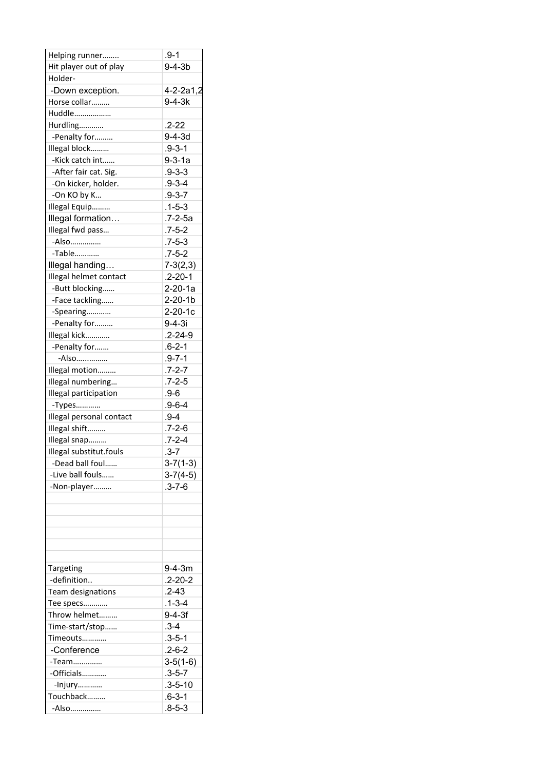| Helping runner                             | $.9 - 1$       |  |  |
|--------------------------------------------|----------------|--|--|
| Hit player out of play                     | $9 - 4 - 3b$   |  |  |
| Holder-                                    |                |  |  |
| -Down exception.                           | 4-2-2a1,2      |  |  |
| Horse collar                               | $9 - 4 - 3k$   |  |  |
| Huddle                                     |                |  |  |
| Hurdling                                   | $.2 - 22$      |  |  |
| -Penalty for                               | $9 - 4 - 3d$   |  |  |
| Illegal block                              | $.9 - 3 - 1$   |  |  |
| -Kick catch int                            | $9 - 3 - 1a$   |  |  |
| -After fair cat. Sig.                      | $.9 - 3 - 3$   |  |  |
| -On kicker, holder.                        | $.9 - 3 - 4$   |  |  |
| -On KO by K                                | $.9 - 3 - 7$   |  |  |
| Illegal Equip                              | $.1 - 5 - 3$   |  |  |
| Illegal formation                          | $.7 - 2 - 5a$  |  |  |
| Illegal fwd pass                           | $.7 - 5 - 2$   |  |  |
| -Also                                      | $.7 - 5 - 3$   |  |  |
| -Table                                     | $.7 - 5 - 2$   |  |  |
| Illegal handing                            | $7-3(2,3)$     |  |  |
| Illegal helmet contact                     | $.2 - 20 - 1$  |  |  |
| -Butt blocking                             | $2 - 20 - 1a$  |  |  |
| -Face tackling                             | $2 - 20 - 1b$  |  |  |
| -Spearing                                  | $2 - 20 - 1c$  |  |  |
| -Penalty for                               | $9 - 4 - 3i$   |  |  |
| Illegal kick                               | $.2 - 24 - 9$  |  |  |
| -Penalty for                               | $.6 - 2 - 1$   |  |  |
| -Also                                      | $.9 - 7 - 1$   |  |  |
| Illegal motion                             | $.7 - 2 - 7$   |  |  |
| Illegal numbering                          | $.7 - 2 - 5$   |  |  |
| Illegal participation                      | $.9 - 6$       |  |  |
| -Types                                     | $.9 - 6 - 4$   |  |  |
| Illegal personal contact                   | $.9 - 4$       |  |  |
| Illegal shift                              | $.7 - 2 - 6$   |  |  |
|                                            | $.7 - 2 - 4$   |  |  |
| Illegal snap                               | $.3 - 7$       |  |  |
| Illegal substitut.fouls<br>-Dead ball foul |                |  |  |
|                                            | $3 - 7(1 - 3)$ |  |  |
| -Live ball fouls                           | $3-7(4-5)$     |  |  |
| -Non-player                                | $.3 - 7 - 6$   |  |  |
|                                            |                |  |  |
|                                            |                |  |  |
|                                            |                |  |  |
|                                            |                |  |  |
|                                            |                |  |  |
| Targeting                                  | $9 - 4 - 3m$   |  |  |
| -definition                                | $.2 - 20 - 2$  |  |  |
| Team designations                          | $.2 - 43$      |  |  |
| Tee specs                                  | $.1 - 3 - 4$   |  |  |
| Throw helmet                               | $9 - 4 - 3f$   |  |  |
| Time-start/stop                            | $.3 - 4$       |  |  |
| Timeouts                                   | $.3 - 5 - 1$   |  |  |
|                                            | $.2 - 6 - 2$   |  |  |
| -Conference<br>-Team                       |                |  |  |
| -Officials                                 | $3-5(1-6)$     |  |  |
|                                            | $.3 - 5 - 7$   |  |  |
| -Injury                                    | $.3 - 5 - 10$  |  |  |
| Touchback                                  | $.6 - 3 - 1$   |  |  |
| -Also                                      | $.8 - 5 - 3$   |  |  |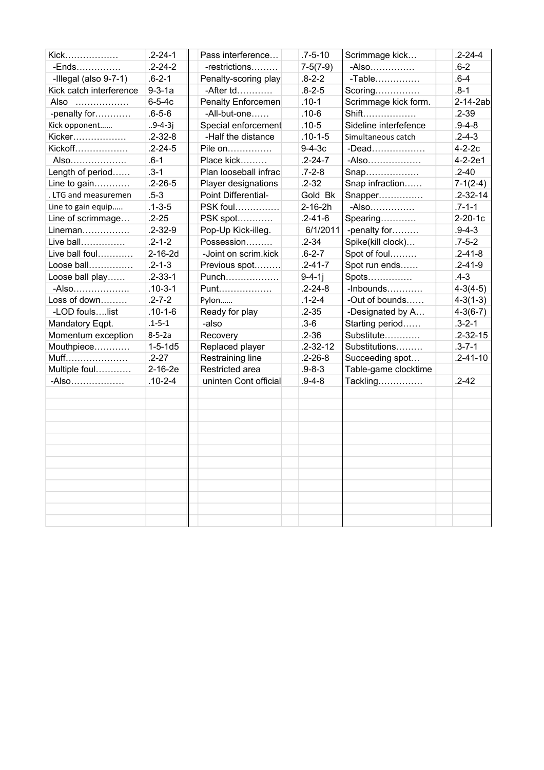| Kick                    | $.2 - 24 - 1$ | Pass interference     | $.7 - 5 - 10$  | Scrimmage kick        | $.2 - 24 - 4$  |
|-------------------------|---------------|-----------------------|----------------|-----------------------|----------------|
| -Ends                   | $.2 - 24 - 2$ | -restrictions         | $7-5(7-9)$     | -Also                 | $.6 - 2$       |
| -Illegal (also 9-7-1)   | $.6 - 2 - 1$  | Penalty-scoring play  | $.8 - 2 - 2$   | -Table                | $.6 - 4$       |
| Kick catch interference | $9 - 3 - 1a$  | -After td             | $.8 - 2 - 5$   | Scoring               | $.8 - 1$       |
| Also                    | $6 - 5 - 4c$  | Penalty Enforcemen    | $.10 - 1$      | Scrimmage kick form.  | 2-14-2ab       |
| -penalty for            | $.6 - 5 - 6$  | -All-but-one          | $.10 - 6$      | Shift                 | $.2 - 39$      |
| Kick opponent           | $.9 - 4 - 3j$ | Special enforcement   | $.10 - 5$      | Sideline interfefence | $.9 - 4 - 8$   |
| Kicker                  | $.2 - 32 - 8$ | -Half the distance    | $.10 - 1 - 5$  | Simultaneous catch    | $.2 - 4 - 3$   |
| Kickoff                 | $.2 - 24 - 5$ | Pile on               | $9-4-3c$       | -Dead                 | $4-2-2c$       |
| Also                    | $.6 - 1$      | Place kick            | $.2 - 24 - 7$  | -Also                 | $4 - 2 - 2e1$  |
| Length of period        | $.3 - 1$      | Plan looseball infrac | $.7 - 2 - 8$   | Snap                  | $.2 - 40$      |
| Line to gain            | $.2 - 26 - 5$ | Player designations   | $.2 - 32$      | Snap infraction       | $7-1(2-4)$     |
| . LTG and measuremen    | $.5 - 3$      | Point Differential-   | Gold Bk        | Snapper               | $.2 - 32 - 14$ |
| Line to gain equip      | $.1 - 3 - 5$  | PSK foul              | $2 - 16 - 2h$  | -Also                 | $.7 - 1 - 1$   |
| Line of scrimmage       | $.2 - 25$     | PSK spot              | $.2 - 41 - 6$  | Spearing              | $2 - 20 - 1c$  |
| Lineman                 | $.2 - 32 - 9$ | Pop-Up Kick-illeg.    | 6/1/2011       | -penalty for          | $.9 - 4 - 3$   |
| Live ball               | $.2 - 1 - 2$  | Possession            | $.2 - 34$      | Spike(kill clock)     | $.7 - 5 - 2$   |
| Live ball foul          | $2 - 16 - 2d$ | -Joint on scrim.kick  | $.6 - 2 - 7$   | Spot of foul          | $.2 - 41 - 8$  |
| Loose ball              | $.2 - 1 - 3$  | Previous spot         | $.2 - 41 - 7$  | Spot run ends         | $.2 - 41 - 9$  |
| Loose ball play         | $.2 - 33 - 1$ | Punch                 | $9 - 4 - 1$ j  | Spots                 | $.4 - 3$       |
| -Also                   | $.10 - 3 - 1$ | Punt                  | $.2 - 24 - 8$  | $-$ Inbounds          | $4-3(4-5)$     |
| Loss of down            | $.2 - 7 - 2$  | Pylon                 | $.1 - 2 - 4$   | -Out of bounds        | $4 - 3(1 - 3)$ |
| -LOD foulslist          | $.10 - 1 - 6$ | Ready for play        | $.2 - 35$      | -Designated by A      | $4-3(6-7)$     |
| Mandatory Eqpt.         | $.1 - 5 - 1$  | -also                 | $.3 - 6$       | Starting period       | $.3 - 2 - 1$   |
| Momentum exception      | $8 - 5 - 2a$  | Recovery              | $.2 - 36$      | Substitute            | $.2 - 32 - 15$ |
| Mouthpiece              | $1 - 5 - 1d5$ | Replaced player       | $.2 - 32 - 12$ | Substitutions         | $.3 - 7 - 1$   |
| Muff                    | $.2 - 27$     | Restraining line      | $.2 - 26 - 8$  | Succeeding spot       | $.2 - 41 - 10$ |
| Multiple foul           | $2 - 16 - 2e$ | Restricted area       | $.9 - 8 - 3$   | Table-game clocktime  |                |
| -Also                   | $.10 - 2 - 4$ | uninten Cont official | $.9 - 4 - 8$   | Tackling              | $.2 - 42$      |
|                         |               |                       |                |                       |                |
|                         |               |                       |                |                       |                |
|                         |               |                       |                |                       |                |
|                         |               |                       |                |                       |                |
|                         |               |                       |                |                       |                |
|                         |               |                       |                |                       |                |
|                         |               |                       |                |                       |                |
|                         |               |                       |                |                       |                |
|                         |               |                       |                |                       |                |
|                         |               |                       |                |                       |                |
|                         |               |                       |                |                       |                |
|                         |               |                       |                |                       |                |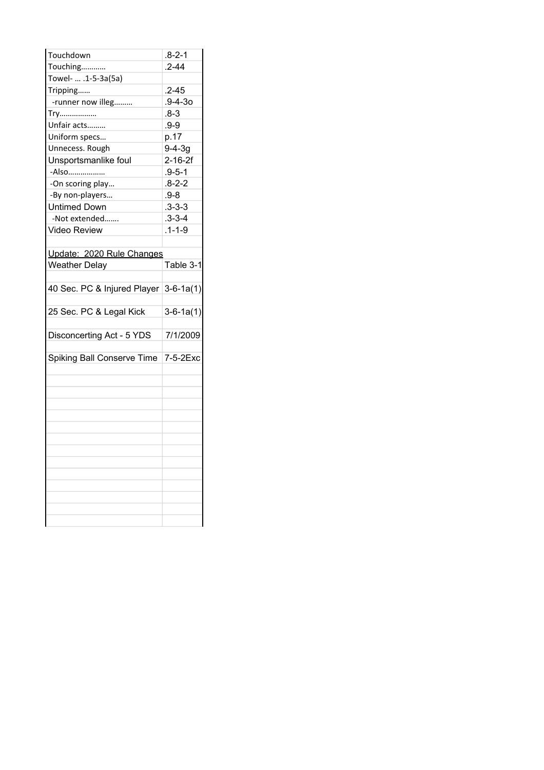| Touchdown                           | $.8 - 2 - 1$  |  |
|-------------------------------------|---------------|--|
| Touching                            | $.2 - 44$     |  |
| Towel-  .1-5-3a(5a)                 |               |  |
| Tripping                            | $.2 - 45$     |  |
| -runner now illeg                   | $.9 - 4 - 30$ |  |
| Try                                 | $.8 - 3$      |  |
| Unfair acts                         | $.9 - 9$      |  |
| Uniform specs                       | p.17          |  |
| Unnecess. Rough                     | $9 - 4 - 3q$  |  |
| Unsportsmanlike foul                | $2 - 16 - 2f$ |  |
| -Also                               | $.9 - 5 - 1$  |  |
| -On scoring play                    | $.8 - 2 - 2$  |  |
| -By non-players                     | $.9 - 8$      |  |
| <b>Untimed Down</b>                 | $.3 - 3 - 3$  |  |
| -Not extended                       | $.3 - 3 - 4$  |  |
| Video Review                        | .1-1-9        |  |
|                                     |               |  |
| Update: 2020 Rule Changes           |               |  |
| <b>Weather Delay</b>                | Table 3-1     |  |
|                                     |               |  |
| 40 Sec. PC & Injured Player         | $3-6-1a(1)$   |  |
|                                     |               |  |
| 25 Sec. PC & Legal Kick             | $3-6-1a(1)$   |  |
|                                     |               |  |
| Disconcerting Act - 5 YDS           | 7/1/2009      |  |
|                                     |               |  |
| Spiking Ball Conserve Time 7-5-2Exc |               |  |
|                                     |               |  |
|                                     |               |  |
|                                     |               |  |
|                                     |               |  |
|                                     |               |  |
|                                     |               |  |
|                                     |               |  |
|                                     |               |  |
|                                     |               |  |
|                                     |               |  |
|                                     |               |  |
|                                     |               |  |
|                                     |               |  |
|                                     |               |  |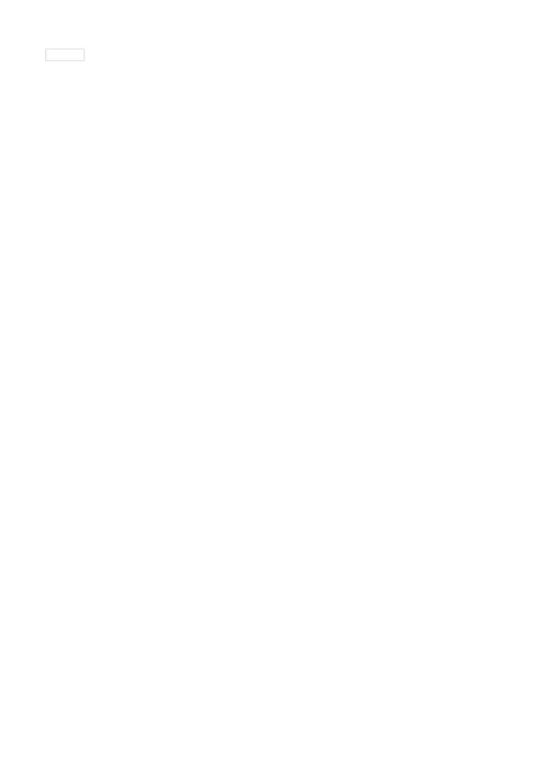$\mathcal{L}(\mathcal{A})$  .